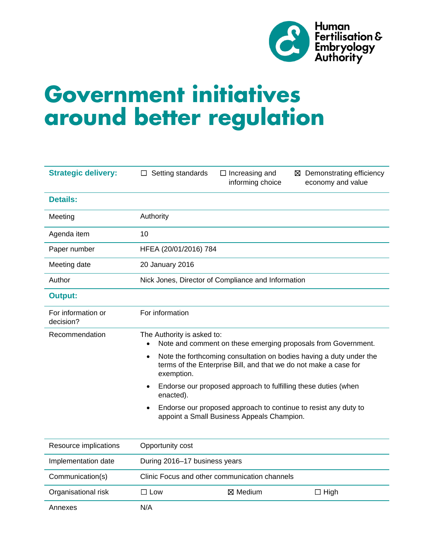

# **Government initiatives around better regulation**

| <b>Strategic delivery:</b>      | $\Box$ Setting standards                                                                                                                                           | $\Box$ Increasing and<br>informing choice                                                                     | ⊠ Demonstrating efficiency<br>economy and value |
|---------------------------------|--------------------------------------------------------------------------------------------------------------------------------------------------------------------|---------------------------------------------------------------------------------------------------------------|-------------------------------------------------|
| <b>Details:</b>                 |                                                                                                                                                                    |                                                                                                               |                                                 |
| Meeting                         | Authority                                                                                                                                                          |                                                                                                               |                                                 |
| Agenda item                     | 10                                                                                                                                                                 |                                                                                                               |                                                 |
| Paper number                    | HFEA (20/01/2016) 784                                                                                                                                              |                                                                                                               |                                                 |
| Meeting date                    | 20 January 2016                                                                                                                                                    |                                                                                                               |                                                 |
| Author                          | Nick Jones, Director of Compliance and Information                                                                                                                 |                                                                                                               |                                                 |
| <b>Output:</b>                  |                                                                                                                                                                    |                                                                                                               |                                                 |
| For information or<br>decision? | For information                                                                                                                                                    |                                                                                                               |                                                 |
| Recommendation                  | The Authority is asked to:<br>Note and comment on these emerging proposals from Government.<br>$\bullet$                                                           |                                                                                                               |                                                 |
|                                 | Note the forthcoming consultation on bodies having a duty under the<br>$\bullet$<br>terms of the Enterprise Bill, and that we do not make a case for<br>exemption. |                                                                                                               |                                                 |
|                                 | Endorse our proposed approach to fulfilling these duties (when<br>$\bullet$<br>enacted).                                                                           |                                                                                                               |                                                 |
|                                 |                                                                                                                                                                    | Endorse our proposed approach to continue to resist any duty to<br>appoint a Small Business Appeals Champion. |                                                 |
| Resource implications           | Opportunity cost                                                                                                                                                   |                                                                                                               |                                                 |
| Implementation date             | During 2016-17 business years                                                                                                                                      |                                                                                                               |                                                 |
| Communication(s)                | Clinic Focus and other communication channels                                                                                                                      |                                                                                                               |                                                 |
| Organisational risk             | $\square$ Low                                                                                                                                                      | ⊠ Medium                                                                                                      | $\Box$ High                                     |
| Annexes                         | N/A                                                                                                                                                                |                                                                                                               |                                                 |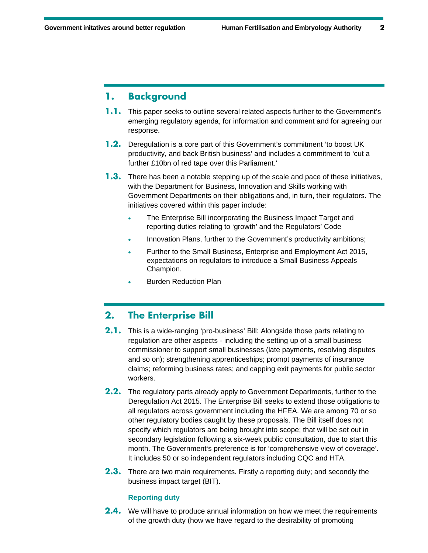# **1. Background**

- **1.1.** This paper seeks to outline several related aspects further to the Government's emerging regulatory agenda, for information and comment and for agreeing our response.
- **1.2.** Deregulation is a core part of this Government's commitment 'to boost UK productivity, and back British business' and includes a commitment to 'cut a further £10bn of red tape over this Parliament.'
- **1.3.** There has been a notable stepping up of the scale and pace of these initiatives, with the Department for Business, Innovation and Skills working with Government Departments on their obligations and, in turn, their regulators. The initiatives covered within this paper include:
	- The Enterprise Bill incorporating the Business Impact Target and reporting duties relating to 'growth' and the Regulators' Code
	- Innovation Plans, further to the Government's productivity ambitions;
	- Further to the Small Business, Enterprise and Employment Act 2015, expectations on regulators to introduce a Small Business Appeals Champion.
	- Burden Reduction Plan

# **2. The Enterprise Bill**

- **2.1.** This is a wide-ranging 'pro-business' Bill: Alongside those parts relating to regulation are other aspects - including the setting up of a small business commissioner to support small businesses (late payments, resolving disputes and so on); strengthening apprenticeships; prompt payments of insurance claims; reforming business rates; and capping exit payments for public sector workers.
- **2.2.** The regulatory parts already apply to Government Departments, further to the Deregulation Act 2015. The Enterprise Bill seeks to extend those obligations to all regulators across government including the HFEA. We are among 70 or so other regulatory bodies caught by these proposals. The Bill itself does not specify which regulators are being brought into scope; that will be set out in secondary legislation following a six-week public consultation, due to start this month. The Government's preference is for 'comprehensive view of coverage'. It includes 50 or so independent regulators including CQC and HTA.
- **2.3.** There are two main requirements. Firstly a reporting duty; and secondly the business impact target (BIT).

#### **Reporting duty**

**2.4.** We will have to produce annual information on how we meet the requirements of the growth duty (how we have regard to the desirability of promoting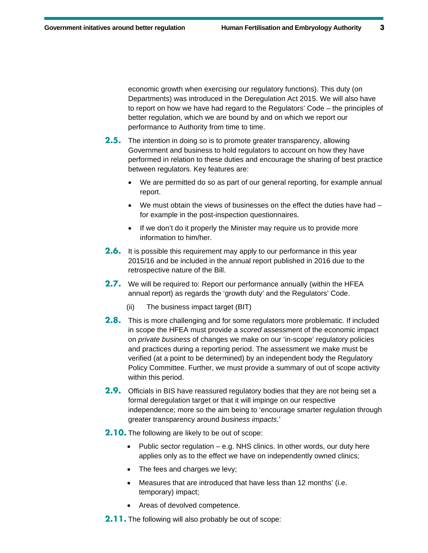economic growth when exercising our regulatory functions). This duty (on Departments) was introduced in the Deregulation Act 2015. We will also have to report on how we have had regard to the Regulators' Code – the principles of better regulation, which we are bound by and on which we report our performance to Authority from time to time.

- **2.5.** The intention in doing so is to promote greater transparency, allowing Government and business to hold regulators to account on how they have performed in relation to these duties and encourage the sharing of best practice between regulators. Key features are:
	- We are permitted do so as part of our general reporting, for example annual report.
	- $\bullet$  We must obtain the views of businesses on the effect the duties have had  $$ for example in the post-inspection questionnaires.
	- If we don't do it properly the Minister may require us to provide more information to him/her.
- **2.6.** It is possible this requirement may apply to our performance in this year 2015/16 and be included in the annual report published in 2016 due to the retrospective nature of the Bill.
- **2.7.** We will be required to: Report our performance annually (within the HFEA annual report) as regards the 'growth duty' and the Regulators' Code.
	- (ii) The business impact target (BIT)
- **2.8.** This is more challenging and for some regulators more problematic. If included in scope the HFEA must provide a *scored* assessment of the economic impact on *private business* of changes we make on our 'in-scope' regulatory policies and practices during a reporting period. The assessment we make must be verified (at a point to be determined) by an independent body the Regulatory Policy Committee. Further, we must provide a summary of out of scope activity within this period.
- **2.9.** Officials in BIS have reassured regulatory bodies that they are not being set a formal deregulation target or that it will impinge on our respective independence; more so the aim being to 'encourage smarter regulation through greater transparency around *business impacts*.'
- **2.10.** The following are likely to be out of scope:
	- Public sector regulation  $-$  e.g. NHS clinics. In other words, our duty here applies only as to the effect we have on independently owned clinics;
	- The fees and charges we levy;
	- Measures that are introduced that have less than 12 months' (i.e. temporary) impact;
	- Areas of devolved competence.
- **2.11.** The following will also probably be out of scope: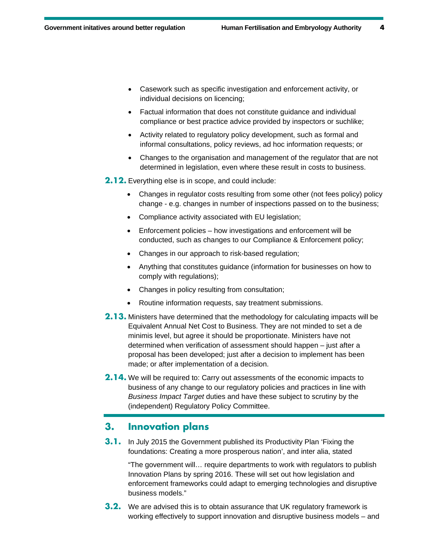- Casework such as specific investigation and enforcement activity, or individual decisions on licencing;
- Factual information that does not constitute guidance and individual compliance or best practice advice provided by inspectors or suchlike;
- Activity related to regulatory policy development, such as formal and informal consultations, policy reviews, ad hoc information requests; or
- Changes to the organisation and management of the regulator that are not determined in legislation, even where these result in costs to business.

**2.12.** Everything else is in scope, and could include:

- Changes in regulator costs resulting from some other (not fees policy) policy change - e.g. changes in number of inspections passed on to the business;
- Compliance activity associated with EU legislation;
- Enforcement policies how investigations and enforcement will be conducted, such as changes to our Compliance & Enforcement policy;
- Changes in our approach to risk-based regulation;
- Anything that constitutes guidance (information for businesses on how to comply with regulations);
- Changes in policy resulting from consultation;
- Routine information requests, say treatment submissions.
- **2.13.** Ministers have determined that the methodology for calculating impacts will be Equivalent Annual Net Cost to Business. They are not minded to set a de minimis level, but agree it should be proportionate. Ministers have not determined when verification of assessment should happen – just after a proposal has been developed; just after a decision to implement has been made; or after implementation of a decision.
- **2.14.** We will be required to: Carry out assessments of the economic impacts to business of any change to our regulatory policies and practices in line with *Business Impact Target* duties and have these subject to scrutiny by the (independent) Regulatory Policy Committee.

## **3. Innovation plans**

**3.1.** In July 2015 the Government published its Productivity Plan 'Fixing the foundations: Creating a more prosperous nation', and inter alia, stated

"The government will… require departments to work with regulators to publish Innovation Plans by spring 2016. These will set out how legislation and enforcement frameworks could adapt to emerging technologies and disruptive business models."

**3.2.** We are advised this is to obtain assurance that UK regulatory framework is working effectively to support innovation and disruptive business models – and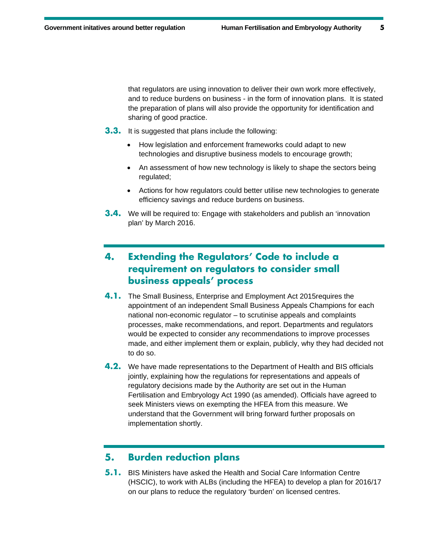that regulators are using innovation to deliver their own work more effectively, and to reduce burdens on business - in the form of innovation plans. It is stated the preparation of plans will also provide the opportunity for identification and sharing of good practice.

- **3.3.** It is suggested that plans include the following:
	- How legislation and enforcement frameworks could adapt to new technologies and disruptive business models to encourage growth;
	- An assessment of how new technology is likely to shape the sectors being regulated;
	- Actions for how regulators could better utilise new technologies to generate efficiency savings and reduce burdens on business.
- **3.4.** We will be required to: Engage with stakeholders and publish an 'innovation plan' by March 2016.

# **4. Extending the Regulators' Code to include a requirement on regulators to consider small business appeals' process**

- **4.1.** The Small Business, Enterprise and Employment Act 2015requires the appointment of an independent Small Business Appeals Champions for each national non-economic regulator – to scrutinise appeals and complaints processes, make recommendations, and report. Departments and regulators would be expected to consider any recommendations to improve processes made, and either implement them or explain, publicly, why they had decided not to do so.
- **4.2.** We have made representations to the Department of Health and BIS officials jointly, explaining how the regulations for representations and appeals of regulatory decisions made by the Authority are set out in the Human Fertilisation and Embryology Act 1990 (as amended). Officials have agreed to seek Ministers views on exempting the HFEA from this measure. We understand that the Government will bring forward further proposals on implementation shortly.

# **5. Burden reduction plans**

**5.1.** BIS Ministers have asked the Health and Social Care Information Centre (HSCIC), to work with ALBs (including the HFEA) to develop a plan for 2016/17 on our plans to reduce the regulatory 'burden' on licensed centres.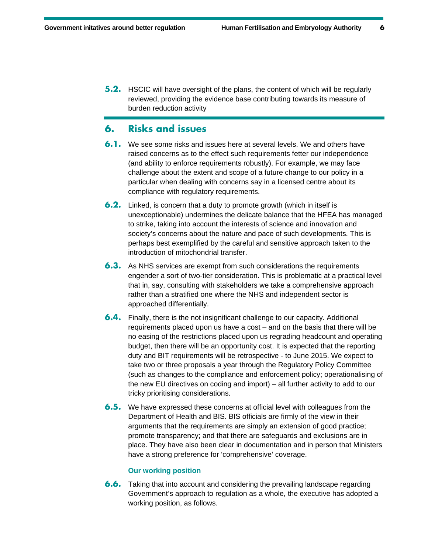**5.2.** HSCIC will have oversight of the plans, the content of which will be regularly reviewed, providing the evidence base contributing towards its measure of burden reduction activity

## **6. Risks and issues**

- **6.1.** We see some risks and issues here at several levels. We and others have raised concerns as to the effect such requirements fetter our independence (and ability to enforce requirements robustly). For example, we may face challenge about the extent and scope of a future change to our policy in a particular when dealing with concerns say in a licensed centre about its compliance with regulatory requirements.
- **6.2.** Linked, is concern that a duty to promote growth (which in itself is unexceptionable) undermines the delicate balance that the HFEA has managed to strike, taking into account the interests of science and innovation and society's concerns about the nature and pace of such developments. This is perhaps best exemplified by the careful and sensitive approach taken to the introduction of mitochondrial transfer.
- **6.3.** As NHS services are exempt from such considerations the requirements engender a sort of two-tier consideration. This is problematic at a practical level that in, say, consulting with stakeholders we take a comprehensive approach rather than a stratified one where the NHS and independent sector is approached differentially.
- **6.4.** Finally, there is the not insignificant challenge to our capacity. Additional requirements placed upon us have a cost – and on the basis that there will be no easing of the restrictions placed upon us regrading headcount and operating budget, then there will be an opportunity cost. It is expected that the reporting duty and BIT requirements will be retrospective - to June 2015. We expect to take two or three proposals a year through the Regulatory Policy Committee (such as changes to the compliance and enforcement policy; operationalising of the new EU directives on coding and import) – all further activity to add to our tricky prioritising considerations.
- **6.5.** We have expressed these concerns at official level with colleagues from the Department of Health and BIS. BIS officials are firmly of the view in their arguments that the requirements are simply an extension of good practice; promote transparency; and that there are safeguards and exclusions are in place. They have also been clear in documentation and in person that Ministers have a strong preference for 'comprehensive' coverage.

#### **Our working position**

**6.6.** Taking that into account and considering the prevailing landscape regarding Government's approach to regulation as a whole, the executive has adopted a working position, as follows.